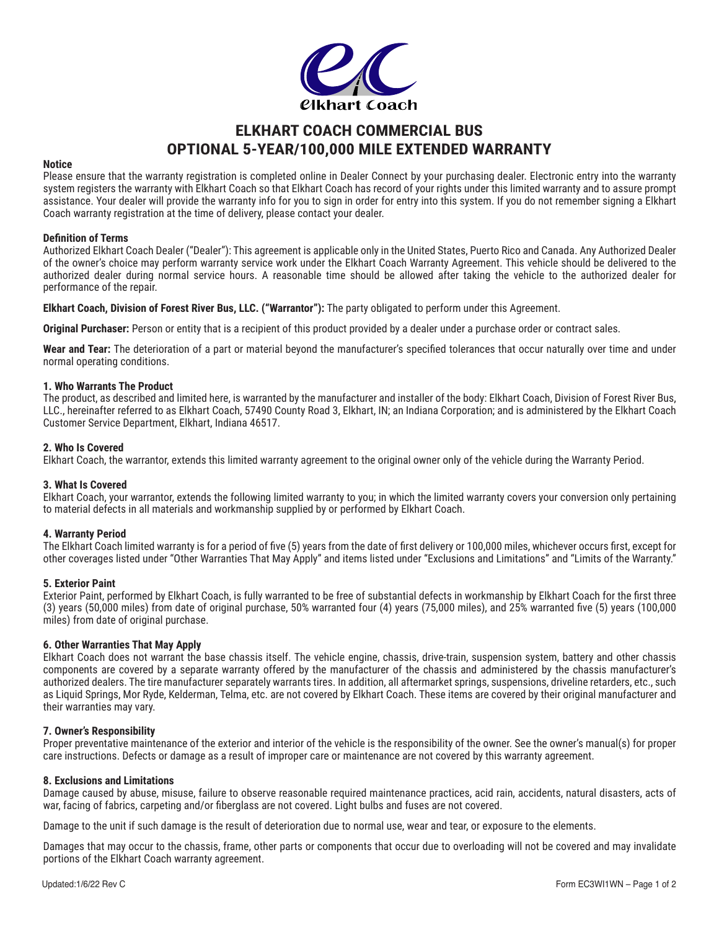

# **ELKHART COACH COMMERCIAL BUS OPTIONAL 5-YEAR/100,000 MILE EXTENDED WARRANTY**

# **Notice**

Please ensure that the warranty registration is completed online in Dealer Connect by your purchasing dealer. Electronic entry into the warranty system registers the warranty with Elkhart Coach so that Elkhart Coach has record of your rights under this limited warranty and to assure prompt assistance. Your dealer will provide the warranty info for you to sign in order for entry into this system. If you do not remember signing a Elkhart Coach warranty registration at the time of delivery, please contact your dealer.

## **Definition of Terms**

Authorized Elkhart Coach Dealer ("Dealer"): This agreement is applicable only in the United States, Puerto Rico and Canada. Any Authorized Dealer of the owner's choice may perform warranty service work under the Elkhart Coach Warranty Agreement. This vehicle should be delivered to the authorized dealer during normal service hours. A reasonable time should be allowed after taking the vehicle to the authorized dealer for performance of the repair.

**Elkhart Coach, Division of Forest River Bus, LLC. ("Warrantor"):** The party obligated to perform under this Agreement.

**Original Purchaser:** Person or entity that is a recipient of this product provided by a dealer under a purchase order or contract sales.

**Wear and Tear:** The deterioration of a part or material beyond the manufacturer's specified tolerances that occur naturally over time and under normal operating conditions.

## **1. Who Warrants The Product**

The product, as described and limited here, is warranted by the manufacturer and installer of the body: Elkhart Coach, Division of Forest River Bus, LLC., hereinafter referred to as Elkhart Coach, 57490 County Road 3, Elkhart, IN; an Indiana Corporation; and is administered by the Elkhart Coach Customer Service Department, Elkhart, Indiana 46517.

## **2. Who Is Covered**

Elkhart Coach, the warrantor, extends this limited warranty agreement to the original owner only of the vehicle during the Warranty Period.

# **3. What Is Covered**

Elkhart Coach, your warrantor, extends the following limited warranty to you; in which the limited warranty covers your conversion only pertaining to material defects in all materials and workmanship supplied by or performed by Elkhart Coach.

# **4. Warranty Period**

The Elkhart Coach limited warranty is for a period of five (5) years from the date of first delivery or 100,000 miles, whichever occurs first, except for other coverages listed under "Other Warranties That May Apply" and items listed under "Exclusions and Limitations" and "Limits of the Warranty."

#### **5. Exterior Paint**

Exterior Paint, performed by Elkhart Coach, is fully warranted to be free of substantial defects in workmanship by Elkhart Coach for the first three (3) years (50,000 miles) from date of original purchase, 50% warranted four (4) years (75,000 miles), and 25% warranted five (5) years (100,000 miles) from date of original purchase.

# **6. Other Warranties That May Apply**

Elkhart Coach does not warrant the base chassis itself. The vehicle engine, chassis, drive‐train, suspension system, battery and other chassis components are covered by a separate warranty offered by the manufacturer of the chassis and administered by the chassis manufacturer's authorized dealers. The tire manufacturer separately warrants tires. In addition, all aftermarket springs, suspensions, driveline retarders, etc., such as Liquid Springs, Mor Ryde, Kelderman, Telma, etc. are not covered by Elkhart Coach. These items are covered by their original manufacturer and their warranties may vary.

#### **7. Owner's Responsibility**

Proper preventative maintenance of the exterior and interior of the vehicle is the responsibility of the owner. See the owner's manual(s) for proper care instructions. Defects or damage as a result of improper care or maintenance are not covered by this warranty agreement.

#### **8. Exclusions and Limitations**

Damage caused by abuse, misuse, failure to observe reasonable required maintenance practices, acid rain, accidents, natural disasters, acts of war, facing of fabrics, carpeting and/or fiberglass are not covered. Light bulbs and fuses are not covered.

Damage to the unit if such damage is the result of deterioration due to normal use, wear and tear, or exposure to the elements.

Damages that may occur to the chassis, frame, other parts or components that occur due to overloading will not be covered and may invalidate portions of the Elkhart Coach warranty agreement.